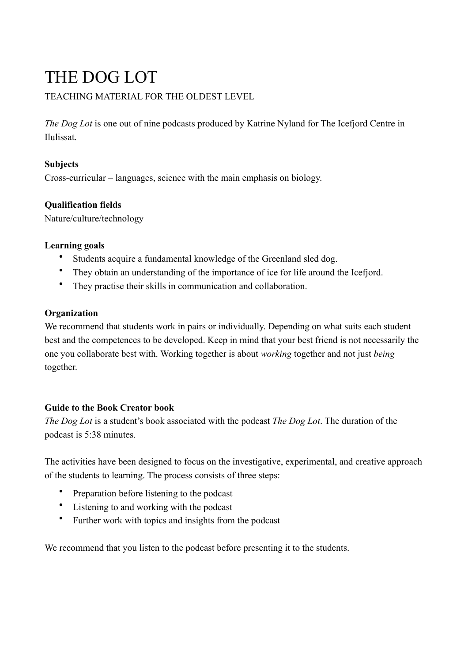# THE DOG LOT

## TEACHING MATERIAL FOR THE OLDEST LEVEL

*The Dog Lot* is one out of nine podcasts produced by Katrine Nyland for The Icefjord Centre in Ilulissat.

## **Subjects**

Cross-curricular – languages, science with the main emphasis on biology.

## **Qualification fields**

Nature/culture/technology

#### **Learning goals**

- Students acquire a fundamental knowledge of the Greenland sled dog.
- They obtain an understanding of the importance of ice for life around the Icefjord.
- They practise their skills in communication and collaboration.

## **Organization**

We recommend that students work in pairs or individually. Depending on what suits each student best and the competences to be developed. Keep in mind that your best friend is not necessarily the one you collaborate best with. Working together is about *working* together and not just *being* together.

## **Guide to the Book Creator book**

*The Dog Lot* is a student's book associated with the podcast *The Dog Lot*. The duration of the podcast is 5:38 minutes.

The activities have been designed to focus on the investigative, experimental, and creative approach of the students to learning. The process consists of three steps:

- Preparation before listening to the podcast
- Listening to and working with the podcast
- Further work with topics and insights from the podcast

We recommend that you listen to the podcast before presenting it to the students.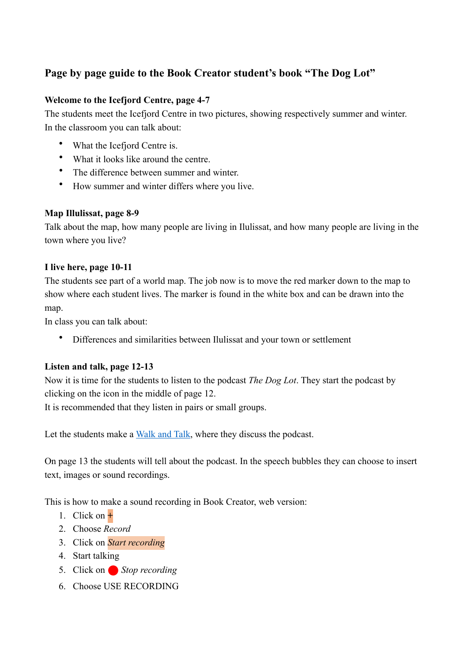# **Page by page guide to the Book Creator student's book "The Dog Lot"**

#### **Welcome to the Icefjord Centre, page 4-7**

The students meet the Icefjord Centre in two pictures, showing respectively summer and winter. In the classroom you can talk about:

- What the Icefjord Centre is.
- What it looks like around the centre.
- The difference between summer and winter.
- How summer and winter differs where you live.

#### **Map Illulissat, page 8-9**

Talk about the map, how many people are living in Ilulissat, and how many people are living in the town where you live?

#### **I live here, page 10-11**

The students see part of a world map. The job now is to move the red marker down to the map to show where each student lives. The marker is found in the white box and can be drawn into the map.

In class you can talk about:

• Differences and similarities between Ilulissat and your town or settlement

#### **Listen and talk, page 12-13**

Now it is time for the students to listen to the podcast *The Dog Lot*. They start the podcast by clicking on the icon in the middle of page 12.

It is recommended that they listen in pairs or small groups.

Let the students make a [Walk and Talk](https://www.responsiveclassroom.org/sites/default/files/pdf_files/EYM_walk_talk.pdf), where they discuss the podcast.

On page 13 the students will tell about the podcast. In the speech bubbles they can choose to insert text, images or sound recordings.

This is how to make a sound recording in Book Creator, web version:

- 1. Click on **+**
- 2. Choose *Record*
- 3. Click on *Start recording*
- 4. Start talking
- 5. Click on Stop recording
- 6. Choose USE RECORDING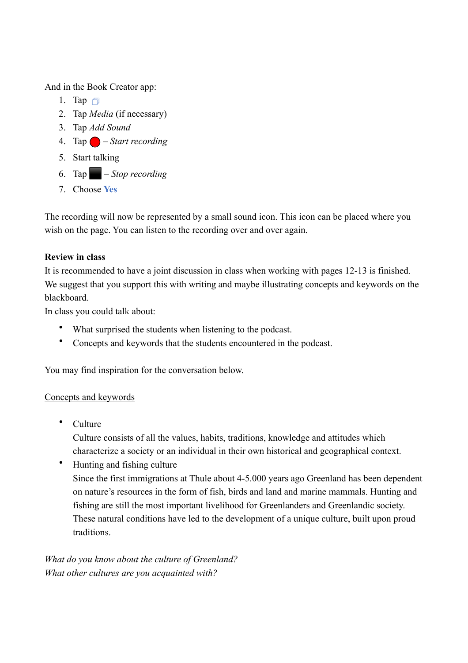And in the Book Creator app:

- 1. Tap  $\Box$
- 2. Tap *Media* (if necessary)
- 3. Tap *Add Sound*
- 4. Tap ⬤ *Start recording*
- 5. Start talking
- 6. Tap ⬛ *Stop recording*
- 7. Choose **Yes**

The recording will now be represented by a small sound icon. This icon can be placed where you wish on the page. You can listen to the recording over and over again.

## **Review in class**

It is recommended to have a joint discussion in class when working with pages 12-13 is finished. We suggest that you support this with writing and maybe illustrating concepts and keywords on the blackboard.

In class you could talk about:

- What surprised the students when listening to the podcast.
- Concepts and keywords that the students encountered in the podcast.

You may find inspiration for the conversation below.

## Concepts and keywords

• Culture

Culture consists of all the values, habits, traditions, knowledge and attitudes which characterize a society or an individual in their own historical and geographical context.

• Hunting and fishing culture Since the first immigrations at Thule about 4-5.000 years ago Greenland has been dependent on nature's resources in the form of fish, birds and land and marine mammals. Hunting and fishing are still the most important livelihood for Greenlanders and Greenlandic society. These natural conditions have led to the development of a unique culture, built upon proud traditions.

*What do you know about the culture of Greenland? What other cultures are you acquainted with?*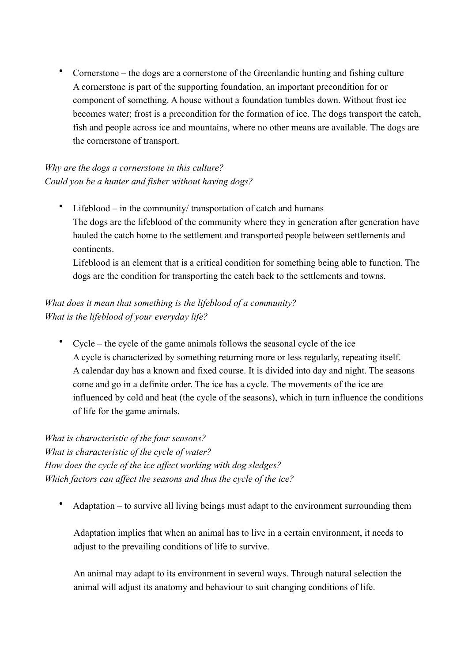• Cornerstone – the dogs are a cornerstone of the Greenlandic hunting and fishing culture A cornerstone is part of the supporting foundation, an important precondition for or component of something. A house without a foundation tumbles down. Without frost ice becomes water; frost is a precondition for the formation of ice. The dogs transport the catch, fish and people across ice and mountains, where no other means are available. The dogs are the cornerstone of transport.

## *Why are the dogs a cornerstone in this culture? Could you be a hunter and fisher without having dogs?*

• Lifeblood – in the community/ transportation of catch and humans The dogs are the lifeblood of the community where they in generation after generation have hauled the catch home to the settlement and transported people between settlements and continents.

Lifeblood is an element that is a critical condition for something being able to function. The dogs are the condition for transporting the catch back to the settlements and towns.

## *What does it mean that something is the lifeblood of a community? What is the lifeblood of your everyday life?*

• Cycle – the cycle of the game animals follows the seasonal cycle of the ice A cycle is characterized by something returning more or less regularly, repeating itself. A calendar day has a known and fixed course. It is divided into day and night. The seasons come and go in a definite order. The ice has a cycle. The movements of the ice are influenced by cold and heat (the cycle of the seasons), which in turn influence the conditions of life for the game animals.

*What is characteristic of the four seasons? What is characteristic of the cycle of water? How does the cycle of the ice affect working with dog sledges? Which factors can affect the seasons and thus the cycle of the ice?*

• Adaptation – to survive all living beings must adapt to the environment surrounding them

Adaptation implies that when an animal has to live in a certain environment, it needs to adjust to the prevailing conditions of life to survive.

An animal may adapt to its environment in several ways. Through natural selection the animal will adjust its anatomy and behaviour to suit changing conditions of life.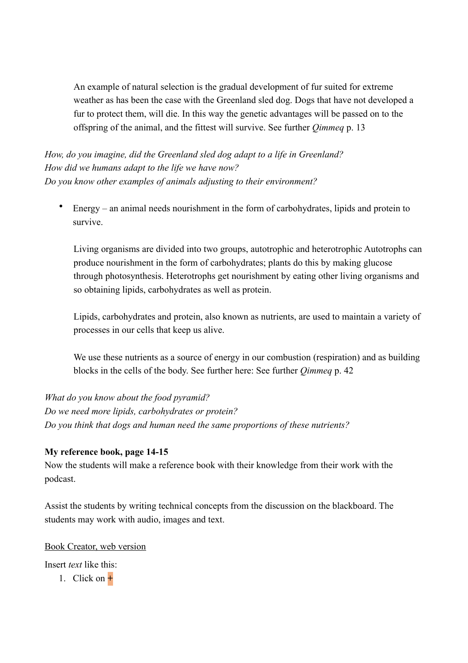An example of natural selection is the gradual development of fur suited for extreme weather as has been the case with the Greenland sled dog. Dogs that have not developed a fur to protect them, will die. In this way the genetic advantages will be passed on to the offspring of the animal, and the fittest will survive. See further *Qimmeq* p. 13

*How, do you imagine, did the Greenland sled dog adapt to a life in Greenland? How did we humans adapt to the life we have now? Do you know other examples of animals adjusting to their environment?*

• Energy – an animal needs nourishment in the form of carbohydrates, lipids and protein to survive.

Living organisms are divided into two groups, autotrophic and heterotrophic Autotrophs can produce nourishment in the form of carbohydrates; plants do this by making glucose through photosynthesis. Heterotrophs get nourishment by eating other living organisms and so obtaining lipids, carbohydrates as well as protein.

Lipids, carbohydrates and protein, also known as nutrients, are used to maintain a variety of processes in our cells that keep us alive.

We use these nutrients as a source of energy in our combustion (respiration) and as building blocks in the cells of the body. See further here: See further *Qimmeq* p. 42

*What do you know about the food pyramid? Do we need more lipids, carbohydrates or protein? Do you think that dogs and human need the same proportions of these nutrients?*

## **My reference book, page 14-15**

Now the students will make a reference book with their knowledge from their work with the podcast.

Assist the students by writing technical concepts from the discussion on the blackboard. The students may work with audio, images and text.

#### Book Creator, web version

Insert *text* like this:

1. Click on **+**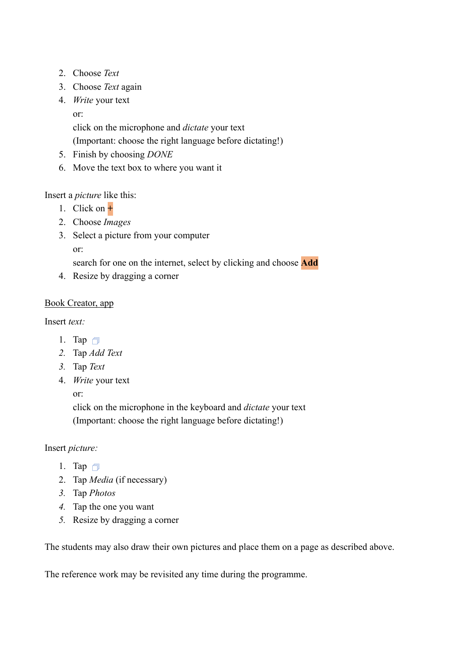- 2. Choose *Text*
- 3. Choose *Text* again
- 4. *Write* your text
	- or:

click on the microphone and *dictate* your text

(Important: choose the right language before dictating!)

- 5. Finish by choosing *DONE*
- 6. Move the text box to where you want it

## Insert a *picture* like this:

- 1. Click on **+**
- 2. Choose *Images*
- 3. Select a picture from your computer or:

search for one on the internet, select by clicking and choose **Add**

4. Resize by dragging a corner

## Book Creator, app

Insert *text:*

- 1. Tap  $\Box$
- *2.* Tap *Add Text*
- *3.* Tap *Text*
- 4. *Write* your text

or:

click on the microphone in the keyboard and *dictate* your text (Important: choose the right language before dictating!)

## Insert *picture:*

- 1. Tap  $\Box$
- 2. Tap *Media* (if necessary)
- *3.* Tap *Photos*
- *4.* Tap the one you want
- *5.* Resize by dragging a corner

The students may also draw their own pictures and place them on a page as described above.

The reference work may be revisited any time during the programme.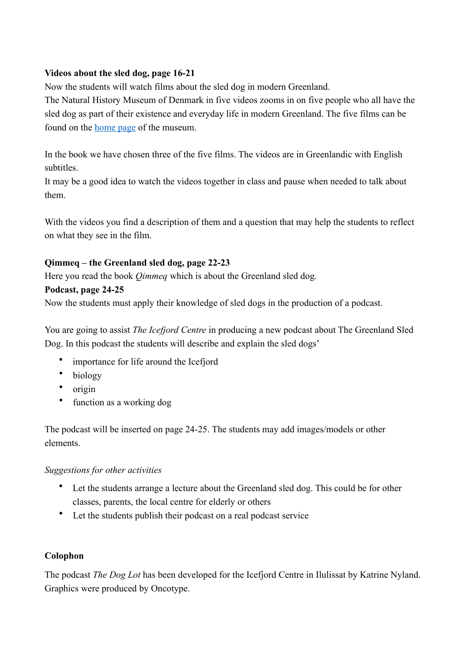#### **Videos about the sled dog, page 16-21**

Now the students will watch films about the sled dog in modern Greenland.

The Natural History Museum of Denmark in five videos zooms in on five people who all have the sled dog as part of their existence and everyday life in modern Greenland. The five films can be found on the [home page](https://snm.ku.dk/skoletjenesten/materialer/qimmeq/) of the museum.

In the book we have chosen three of the five films. The videos are in Greenlandic with English subtitles.

It may be a good idea to watch the videos together in class and pause when needed to talk about them.

With the videos you find a description of them and a question that may help the students to reflect on what they see in the film.

#### **Qimmeq – the Greenland sled dog, page 22-23**

Here you read the book *Qimmeq* which is about the Greenland sled dog.

#### **Podcast, page 24-25**

Now the students must apply their knowledge of sled dogs in the production of a podcast.

You are going to assist *The Icefjord Centre* in producing a new podcast about The Greenland Sled Dog. In this podcast the students will describe and explain the sled dogs'

- importance for life around the Icefjord
- biology
- origin
- function as a working dog

The podcast will be inserted on page 24-25. The students may add images/models or other elements.

#### *Suggestions for other activities*

- Let the students arrange a lecture about the Greenland sled dog. This could be for other classes, parents, the local centre for elderly or others
- Let the students publish their podcast on a real podcast service

## **Colophon**

The podcast *The Dog Lot* has been developed for the Icefjord Centre in Ilulissat by Katrine Nyland. Graphics were produced by Oncotype.